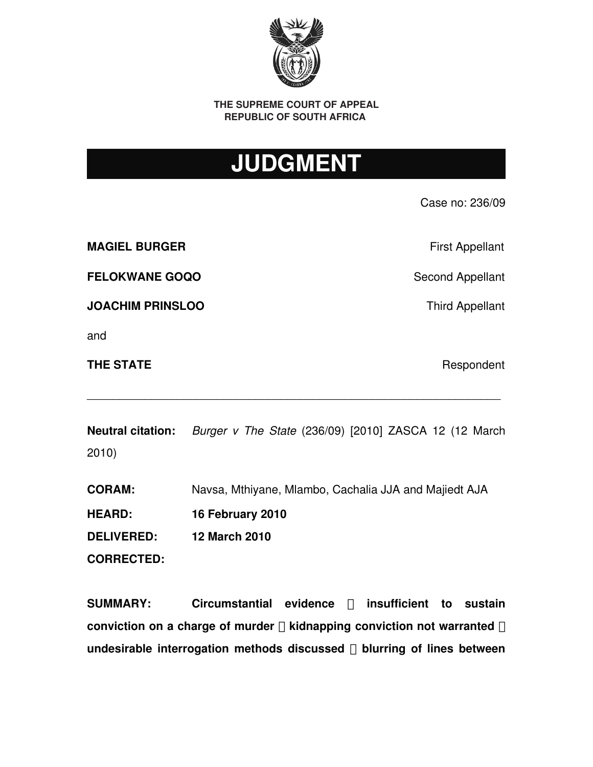

**THE SUPREME COURT OF APPEAL REPUBLIC OF SOUTH AFRICA** 

# **JUDGMENT**

Case no: 236/09 **MAGIEL BURGER MAGIEL BURGER Examplement MAGIEL FELOKWANE GOQO** Second Appellant **JOACHIM PRINSLOO** Third Appellant

and

**THE STATE** Respondent

**Neutral citation:** *Burger v The State* (236/09) [2010] ZASCA 12 (12 March 2010)

\_\_\_\_\_\_\_\_\_\_\_\_\_\_\_\_\_\_\_\_\_\_\_\_\_\_\_\_\_\_\_\_\_\_\_\_\_\_\_\_\_\_\_\_\_\_\_\_\_\_\_\_\_\_\_\_\_\_\_\_\_\_\_\_

**CORAM:** Navsa, Mthiyane, Mlambo, Cachalia JJA and Majiedt AJA

**HEARD: 16 February 2010 DELIVERED: 12 March 2010**

**CORRECTED:**

**SUMMARY: Circumstantial evidence insufficient to sustain ─ conviction on a charge of murder**  $□$  **kidnapping conviction not warranted**  $□$ **undesirable interrogation methods discussed** □ blurring of lines between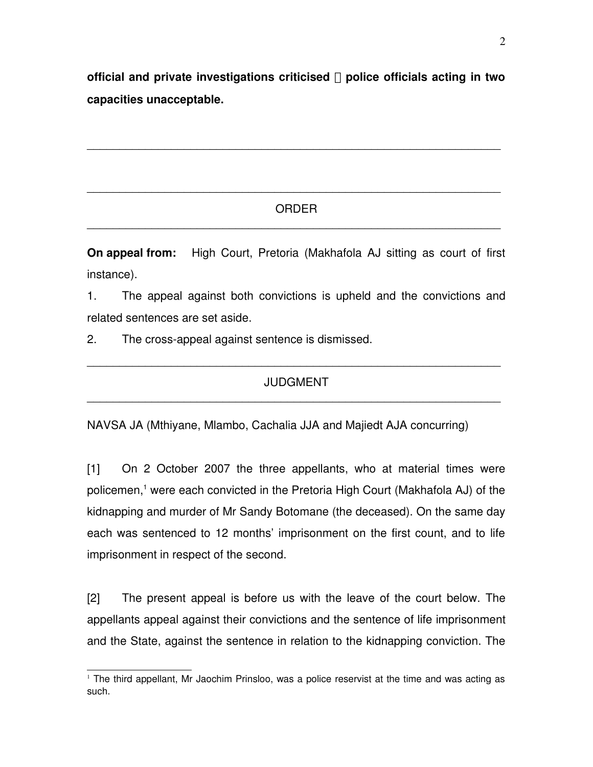**official and private investigations criticised police officials acting in two ─ capacities unacceptable.**

\_\_\_\_\_\_\_\_\_\_\_\_\_\_\_\_\_\_\_\_\_\_\_\_\_\_\_\_\_\_\_\_\_\_\_\_\_\_\_\_\_\_\_\_\_\_\_\_\_\_\_\_\_\_\_\_\_\_\_\_\_\_\_\_

### ORDER \_\_\_\_\_\_\_\_\_\_\_\_\_\_\_\_\_\_\_\_\_\_\_\_\_\_\_\_\_\_\_\_\_\_\_\_\_\_\_\_\_\_\_\_\_\_\_\_\_\_\_\_\_\_\_\_\_\_\_\_\_\_\_\_

\_\_\_\_\_\_\_\_\_\_\_\_\_\_\_\_\_\_\_\_\_\_\_\_\_\_\_\_\_\_\_\_\_\_\_\_\_\_\_\_\_\_\_\_\_\_\_\_\_\_\_\_\_\_\_\_\_\_\_\_\_\_\_\_

**On appeal from:** High Court, Pretoria (Makhafola AJ sitting as court of first instance).

1. The appeal against both convictions is upheld and the convictions and related sentences are set aside.

2. The cross-appeal against sentence is dismissed.

### JUDGMENT \_\_\_\_\_\_\_\_\_\_\_\_\_\_\_\_\_\_\_\_\_\_\_\_\_\_\_\_\_\_\_\_\_\_\_\_\_\_\_\_\_\_\_\_\_\_\_\_\_\_\_\_\_\_\_\_\_\_\_\_\_\_\_\_

\_\_\_\_\_\_\_\_\_\_\_\_\_\_\_\_\_\_\_\_\_\_\_\_\_\_\_\_\_\_\_\_\_\_\_\_\_\_\_\_\_\_\_\_\_\_\_\_\_\_\_\_\_\_\_\_\_\_\_\_\_\_\_\_

NAVSA JA (Mthiyane, Mlambo, Cachalia JJA and Majiedt AJA concurring)

[1] On 2 October 2007 the three appellants, who at material times were policemen,<sup>[1](#page-1-0)</sup> were each convicted in the Pretoria High Court (Makhafola AJ) of the kidnapping and murder of Mr Sandy Botomane (the deceased). On the same day each was sentenced to 12 months' imprisonment on the first count, and to life imprisonment in respect of the second.

[2] The present appeal is before us with the leave of the court below. The appellants appeal against their convictions and the sentence of life imprisonment and the State, against the sentence in relation to the kidnapping conviction. The

<span id="page-1-0"></span><sup>1</sup> The third appellant, Mr Jaochim Prinsloo, was a police reservist at the time and was acting as such.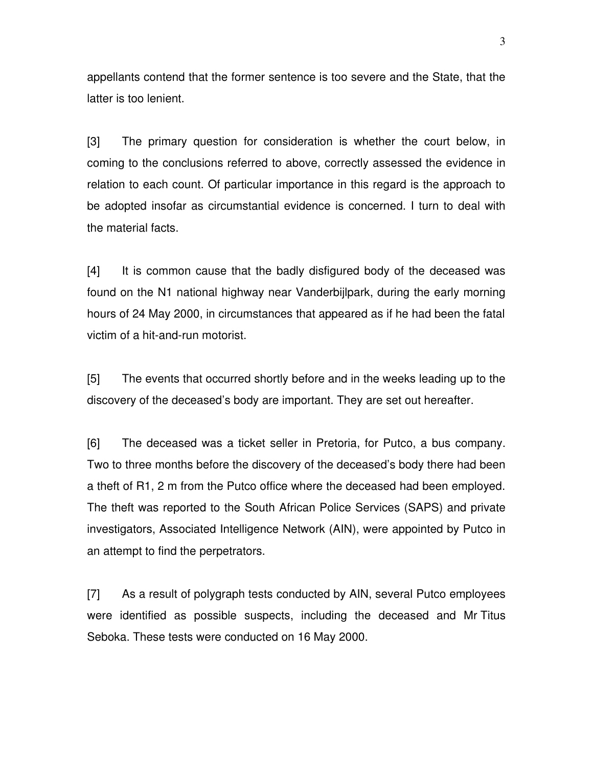appellants contend that the former sentence is too severe and the State, that the latter is too lenient.

[3] The primary question for consideration is whether the court below, in coming to the conclusions referred to above, correctly assessed the evidence in relation to each count. Of particular importance in this regard is the approach to be adopted insofar as circumstantial evidence is concerned. I turn to deal with the material facts.

[4] It is common cause that the badly disfigured body of the deceased was found on the N1 national highway near Vanderbijlpark, during the early morning hours of 24 May 2000, in circumstances that appeared as if he had been the fatal victim of a hit-and-run motorist.

[5] The events that occurred shortly before and in the weeks leading up to the discovery of the deceased's body are important. They are set out hereafter.

[6] The deceased was a ticket seller in Pretoria, for Putco, a bus company. Two to three months before the discovery of the deceased's body there had been a theft of R1, 2 m from the Putco office where the deceased had been employed. The theft was reported to the South African Police Services (SAPS) and private investigators, Associated Intelligence Network (AIN), were appointed by Putco in an attempt to find the perpetrators.

[7] As a result of polygraph tests conducted by AIN, several Putco employees were identified as possible suspects, including the deceased and MrTitus Seboka. These tests were conducted on 16 May 2000.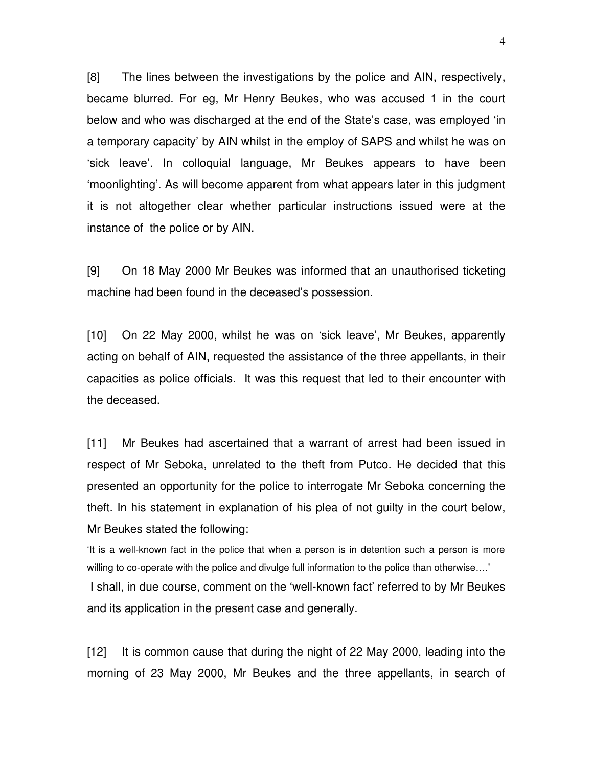[8] The lines between the investigations by the police and AIN, respectively, became blurred. For eg, Mr Henry Beukes, who was accused 1 in the court below and who was discharged at the end of the State's case, was employed 'in a temporary capacity' by AIN whilst in the employ of SAPS and whilst he was on 'sick leave'. In colloquial language, Mr Beukes appears to have been 'moonlighting'. As will become apparent from what appears later in this judgment it is not altogether clear whether particular instructions issued were at the instance of the police or by AIN.

[9] On 18 May 2000 Mr Beukes was informed that an unauthorised ticketing machine had been found in the deceased's possession.

[10] On 22 May 2000, whilst he was on 'sick leave', Mr Beukes, apparently acting on behalf of AIN, requested the assistance of the three appellants, in their capacities as police officials. It was this request that led to their encounter with the deceased.

[11] Mr Beukes had ascertained that a warrant of arrest had been issued in respect of Mr Seboka, unrelated to the theft from Putco. He decided that this presented an opportunity for the police to interrogate Mr Seboka concerning the theft. In his statement in explanation of his plea of not guilty in the court below, Mr Beukes stated the following:

It is a well-known fact in the police that when a person is in detention such a person is more willing to co-operate with the police and divulge full information to the police than otherwise....'

I shall, in due course, comment on the 'well-known fact' referred to by Mr Beukes and its application in the present case and generally.

[12] It is common cause that during the night of 22 May 2000, leading into the morning of 23 May 2000, Mr Beukes and the three appellants, in search of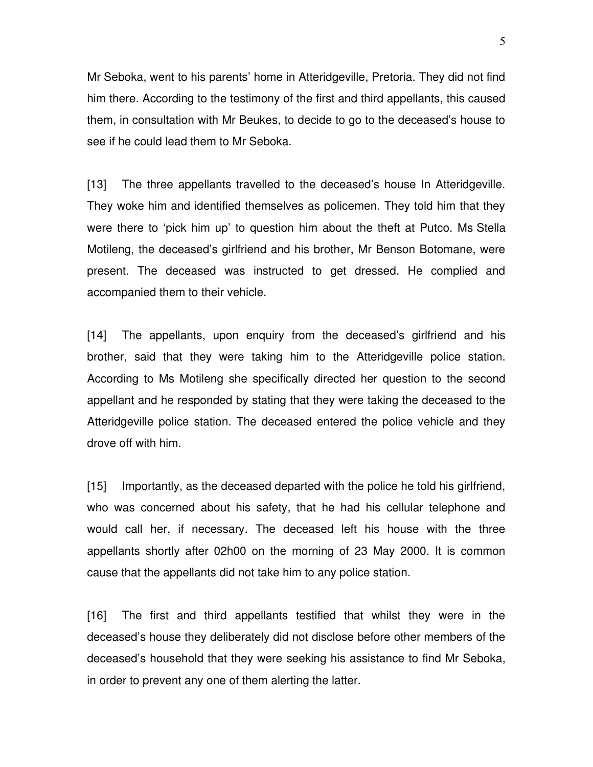Mr Seboka, went to his parents' home in Atteridgeville, Pretoria. They did not find him there. According to the testimony of the first and third appellants, this caused them, in consultation with Mr Beukes, to decide to go to the deceased's house to see if he could lead them to Mr Seboka.

[13] The three appellants travelled to the deceased's house In Atteridgeville. They woke him and identified themselves as policemen. They told him that they were there to 'pick him up' to question him about the theft at Putco. Ms Stella Motileng, the deceased's girlfriend and his brother, Mr Benson Botomane, were present. The deceased was instructed to get dressed. He complied and accompanied them to their vehicle.

[14] The appellants, upon enquiry from the deceased's girlfriend and his brother, said that they were taking him to the Atteridgeville police station. According to Ms Motileng she specifically directed her question to the second appellant and he responded by stating that they were taking the deceased to the Atteridgeville police station. The deceased entered the police vehicle and they drove off with him.

[15] Importantly, as the deceased departed with the police he told his girlfriend, who was concerned about his safety, that he had his cellular telephone and would call her, if necessary. The deceased left his house with the three appellants shortly after 02h00 on the morning of 23 May 2000. It is common cause that the appellants did not take him to any police station.

[16] The first and third appellants testified that whilst they were in the deceased's house they deliberately did not disclose before other members of the deceased's household that they were seeking his assistance to find Mr Seboka, in order to prevent any one of them alerting the latter.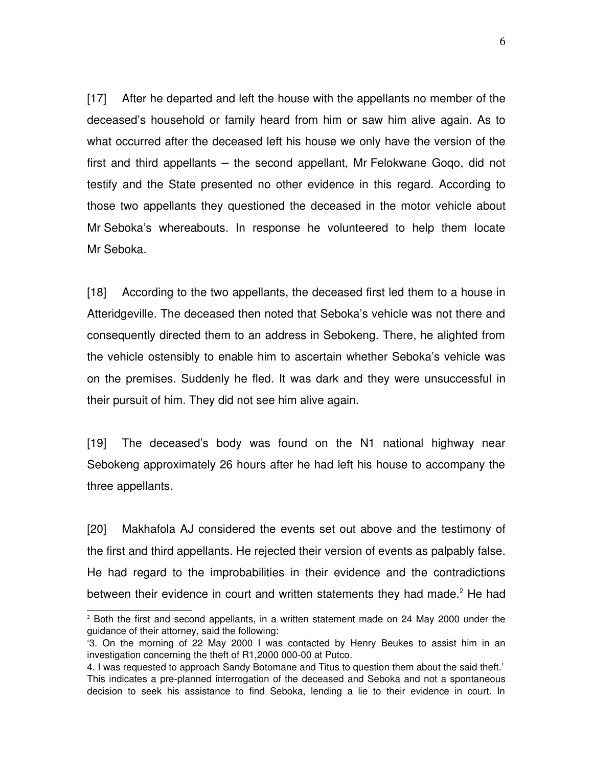[17] After he departed and left the house with the appellants no member of the deceased's household or family heard from him or saw him alive again. As to what occurred after the deceased left his house we only have the version of the first and third appellants  $-$  the second appellant, Mr Felokwane Goqo, did not testify and the State presented no other evidence in this regard. According to those two appellants they questioned the deceased in the motor vehicle about Mr Seboka's whereabouts. In response he volunteered to help them locate Mr Seboka.

[18] According to the two appellants, the deceased first led them to a house in Atteridgeville. The deceased then noted that Seboka's vehicle was not there and consequently directed them to an address in Sebokeng. There, he alighted from the vehicle ostensibly to enable him to ascertain whether Seboka's vehicle was on the premises. Suddenly he fled. It was dark and they were unsuccessful in their pursuit of him. They did not see him alive again.

[19] The deceased's body was found on the N1 national highway near Sebokeng approximately 26 hours after he had left his house to accompany the three appellants.

[20] Makhafola AJ considered the events set out above and the testimony of the first and third appellants. He rejected their version of events as palpably false. He had regard to the improbabilities in their evidence and the contradictions between their evidence in court and written statements they had made.<sup>[2](#page-5-0)</sup> He had

<span id="page-5-0"></span> $2$  Both the first and second appellants, in a written statement made on 24 May 2000 under the guidance of their attorney, said the following:

<sup>&#</sup>x27;3. On the morning of 22 May 2000 I was contacted by Henry Beukes to assist him in an investigation concerning the theft of R1,2000 000-00 at Putco.

<sup>4.</sup> I was requested to approach Sandy Botomane and Titus to question them about the said theft.' This indicates a pre-planned interrogation of the deceased and Seboka and not a spontaneous decision to seek his assistance to find Seboka, lending a lie to their evidence in court. In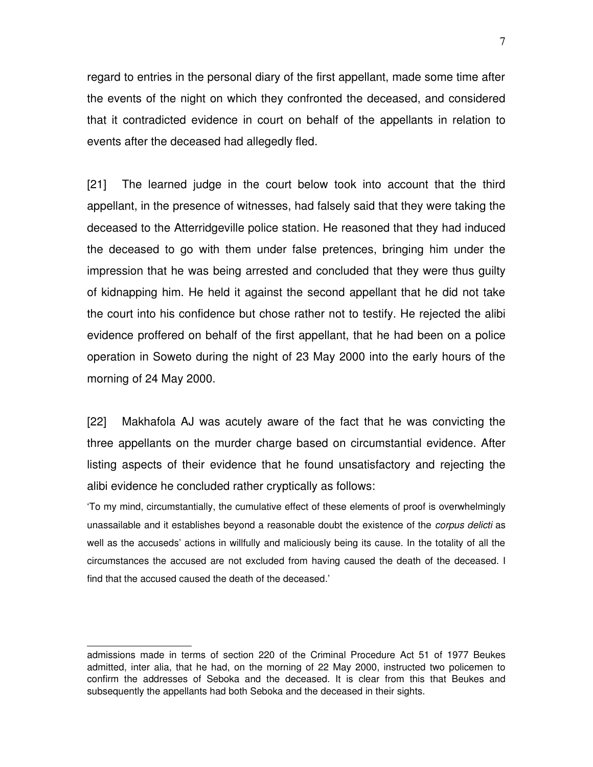regard to entries in the personal diary of the first appellant, made some time after the events of the night on which they confronted the deceased, and considered that it contradicted evidence in court on behalf of the appellants in relation to events after the deceased had allegedly fled.

[21] The learned judge in the court below took into account that the third appellant, in the presence of witnesses, had falsely said that they were taking the deceased to the Atterridgeville police station. He reasoned that they had induced the deceased to go with them under false pretences, bringing him under the impression that he was being arrested and concluded that they were thus guilty of kidnapping him. He held it against the second appellant that he did not take the court into his confidence but chose rather not to testify. He rejected the alibi evidence proffered on behalf of the first appellant, that he had been on a police operation in Soweto during the night of 23 May 2000 into the early hours of the morning of 24 May 2000.

[22] Makhafola AJ was acutely aware of the fact that he was convicting the three appellants on the murder charge based on circumstantial evidence. After listing aspects of their evidence that he found unsatisfactory and rejecting the alibi evidence he concluded rather cryptically as follows:

'To my mind, circumstantially, the cumulative effect of these elements of proof is overwhelmingly unassailable and it establishes beyond a reasonable doubt the existence of the *corpus delicti* as well as the accuseds' actions in willfully and maliciously being its cause. In the totality of all the circumstances the accused are not excluded from having caused the death of the deceased. I find that the accused caused the death of the deceased.'

admissions made in terms of section 220 of the Criminal Procedure Act 51 of 1977 Beukes admitted, inter alia, that he had, on the morning of 22 May 2000, instructed two policemen to confirm the addresses of Seboka and the deceased. It is clear from this that Beukes and subsequently the appellants had both Seboka and the deceased in their sights.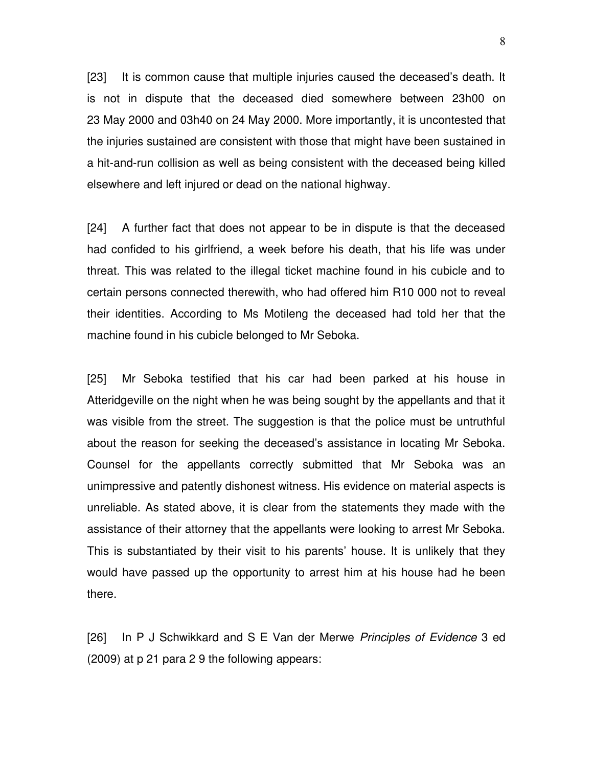[23] It is common cause that multiple injuries caused the deceased's death. It is not in dispute that the deceased died somewhere between 23h00 on 23 May 2000 and 03h40 on 24 May 2000. More importantly, it is uncontested that the injuries sustained are consistent with those that might have been sustained in a hit-and-run collision as well as being consistent with the deceased being killed elsewhere and left injured or dead on the national highway.

[24] A further fact that does not appear to be in dispute is that the deceased had confided to his girlfriend, a week before his death, that his life was under threat. This was related to the illegal ticket machine found in his cubicle and to certain persons connected therewith, who had offered him R10 000 not to reveal their identities. According to Ms Motileng the deceased had told her that the machine found in his cubicle belonged to Mr Seboka.

[25] Mr Seboka testified that his car had been parked at his house in Atteridgeville on the night when he was being sought by the appellants and that it was visible from the street. The suggestion is that the police must be untruthful about the reason for seeking the deceased's assistance in locating Mr Seboka. Counsel for the appellants correctly submitted that Mr Seboka was an unimpressive and patently dishonest witness. His evidence on material aspects is unreliable. As stated above, it is clear from the statements they made with the assistance of their attorney that the appellants were looking to arrest Mr Seboka. This is substantiated by their visit to his parents' house. It is unlikely that they would have passed up the opportunity to arrest him at his house had he been there.

[26] In P J Schwikkard and S E Van der Merwe *Principles of Evidence* 3 ed (2009) at p 21 para 2 9 the following appears: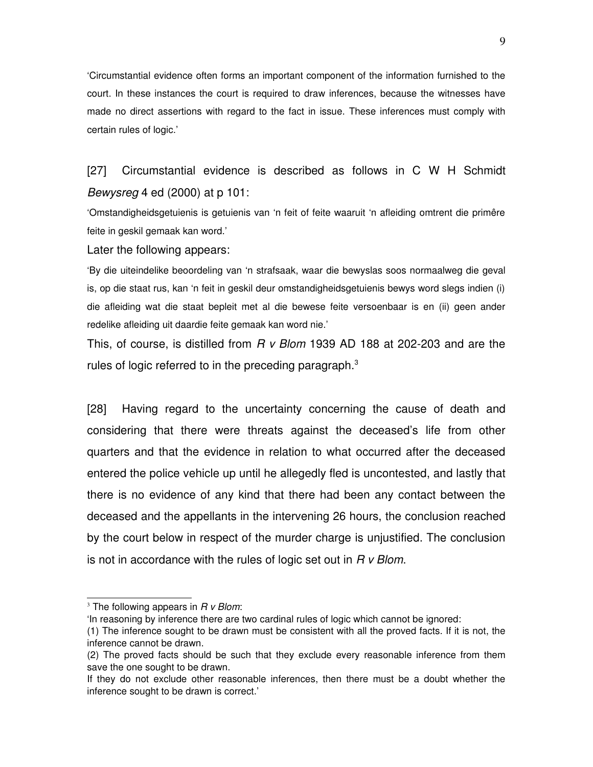'Circumstantial evidence often forms an important component of the information furnished to the court. In these instances the court is required to draw inferences, because the witnesses have made no direct assertions with regard to the fact in issue. These inferences must comply with certain rules of logic.'

## [27] Circumstantial evidence is described as follows in C W H Schmidt *Bewysreg* 4 ed (2000) at p 101:

'Omstandigheidsgetuienis is getuienis van 'n feit of feite waaruit 'n afleiding omtrent die primêre feite in geskil gemaak kan word.'

Later the following appears:

'By die uiteindelike beoordeling van 'n strafsaak, waar die bewyslas soos normaalweg die geval is, op die staat rus, kan 'n feit in geskil deur omstandigheidsgetuienis bewys word slegs indien (i) die afleiding wat die staat bepleit met al die bewese feite versoenbaar is en (ii) geen ander redelike afleiding uit daardie feite gemaak kan word nie.'

This, of course, is distilled from *R v Blom* 1939 AD 188 at 202203 and are the rules of logic referred to in the preceding paragraph. $3$ 

[28] Having regard to the uncertainty concerning the cause of death and considering that there were threats against the deceased's life from other quarters and that the evidence in relation to what occurred after the deceased entered the police vehicle up until he allegedly fled is uncontested, and lastly that there is no evidence of any kind that there had been any contact between the deceased and the appellants in the intervening 26 hours, the conclusion reached by the court below in respect of the murder charge is unjustified. The conclusion is not in accordance with the rules of logic set out in *R v Blom*.

<span id="page-8-0"></span><sup>3</sup> The following appears in *R v Blom*:

<sup>&#</sup>x27;In reasoning by inference there are two cardinal rules of logic which cannot be ignored:

<sup>(1)</sup> The inference sought to be drawn must be consistent with all the proved facts. If it is not, the inference cannot be drawn.

<sup>(2)</sup> The proved facts should be such that they exclude every reasonable inference from them save the one sought to be drawn.

If they do not exclude other reasonable inferences, then there must be a doubt whether the inference sought to be drawn is correct.'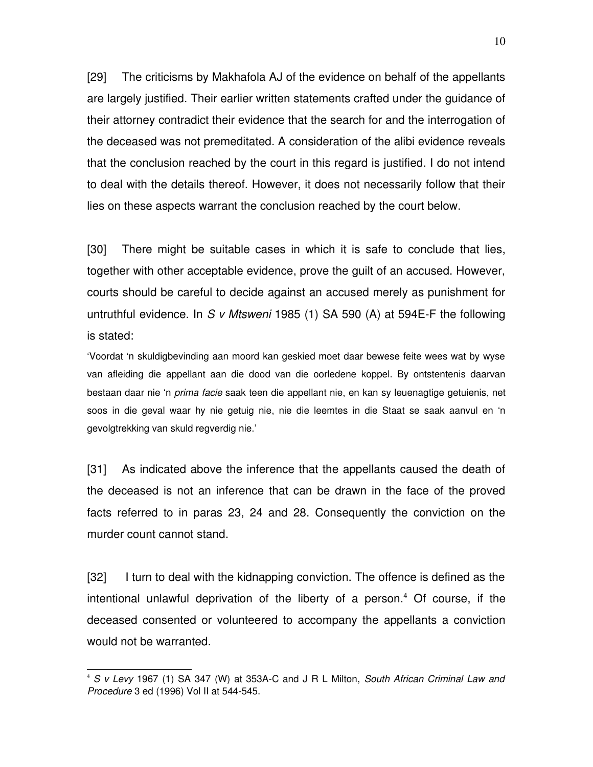[29] The criticisms by Makhafola AJ of the evidence on behalf of the appellants are largely justified. Their earlier written statements crafted under the guidance of their attorney contradict their evidence that the search for and the interrogation of the deceased was not premeditated. A consideration of the alibi evidence reveals that the conclusion reached by the court in this regard is justified. I do not intend to deal with the details thereof. However, it does not necessarily follow that their lies on these aspects warrant the conclusion reached by the court below.

[30] There might be suitable cases in which it is safe to conclude that lies, together with other acceptable evidence, prove the guilt of an accused. However, courts should be careful to decide against an accused merely as punishment for untruthful evidence. In *S v Mtsweni* 1985 (1) SA 590 (A) at 594E-F the following is stated:

'Voordat 'n skuldigbevinding aan moord kan geskied moet daar bewese feite wees wat by wyse van afleiding die appellant aan die dood van die oorledene koppel. By ontstentenis daarvan bestaan daar nie 'n *prima facie* saak teen die appellant nie, en kan sy leuenagtige getuienis, net soos in die geval waar hy nie getuig nie, nie die leemtes in die Staat se saak aanvul en 'n gevolgtrekking van skuld regverdig nie.'

[31] As indicated above the inference that the appellants caused the death of the deceased is not an inference that can be drawn in the face of the proved facts referred to in paras 23, 24 and 28. Consequently the conviction on the murder count cannot stand.

[32] I turn to deal with the kidnapping conviction. The offence is defined as the intentional unlawful deprivation of the liberty of a person.<sup>[4](#page-9-0)</sup> Of course, if the deceased consented or volunteered to accompany the appellants a conviction would not be warranted.

<span id="page-9-0"></span><sup>4</sup> *S v Levy* 1967 (1) SA 347 (W) at 353AC and J R L Milton, *South African Criminal Law and Procedure* 3 ed (1996) Vol II at 544-545.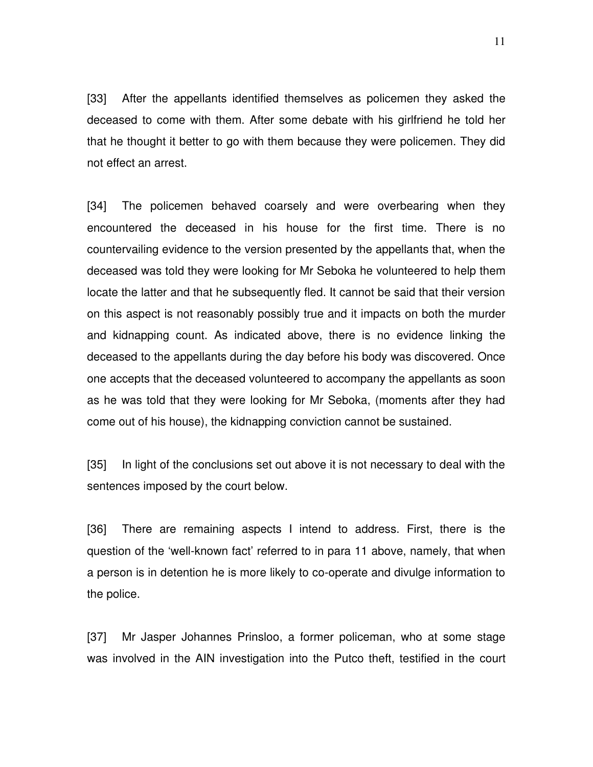[33] After the appellants identified themselves as policemen they asked the deceased to come with them. After some debate with his girlfriend he told her that he thought it better to go with them because they were policemen. They did not effect an arrest.

[34] The policemen behaved coarsely and were overbearing when they encountered the deceased in his house for the first time. There is no countervailing evidence to the version presented by the appellants that, when the deceased was told they were looking for Mr Seboka he volunteered to help them locate the latter and that he subsequently fled. It cannot be said that their version on this aspect is not reasonably possibly true and it impacts on both the murder and kidnapping count. As indicated above, there is no evidence linking the deceased to the appellants during the day before his body was discovered. Once one accepts that the deceased volunteered to accompany the appellants as soon as he was told that they were looking for Mr Seboka, (moments after they had come out of his house), the kidnapping conviction cannot be sustained.

[35] In light of the conclusions set out above it is not necessary to deal with the sentences imposed by the court below.

[36] There are remaining aspects I intend to address. First, there is the question of the 'well-known fact' referred to in para 11 above, namely, that when a person is in detention he is more likely to co-operate and divulge information to the police.

[37] Mr Jasper Johannes Prinsloo, a former policeman, who at some stage was involved in the AIN investigation into the Putco theft, testified in the court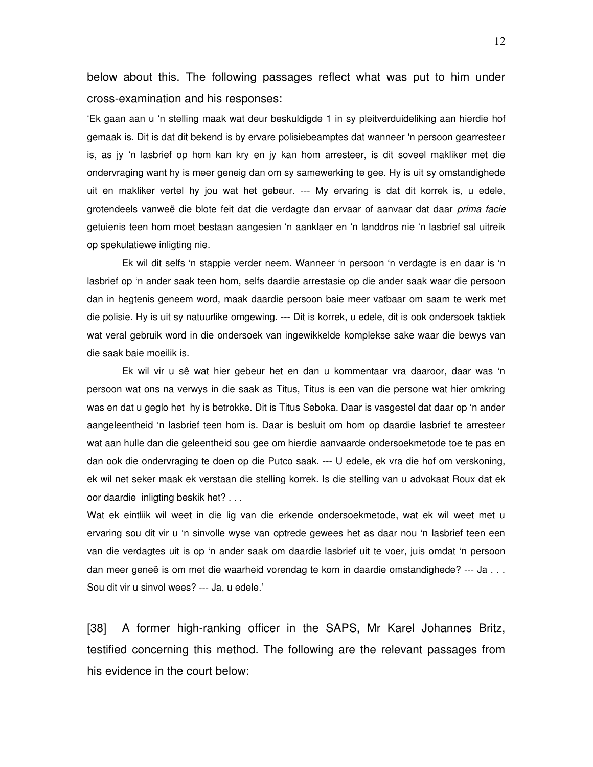below about this. The following passages reflect what was put to him under cross-examination and his responses:

'Ek gaan aan u 'n stelling maak wat deur beskuldigde 1 in sy pleitverduideliking aan hierdie hof gemaak is. Dit is dat dit bekend is by ervare polisiebeamptes dat wanneer 'n persoon gearresteer is, as jy 'n lasbrief op hom kan kry en jy kan hom arresteer, is dit soveel makliker met die ondervraging want hy is meer geneig dan om sy samewerking te gee. Hy is uit sy omstandighede uit en makliker vertel hy jou wat het gebeur. --- My ervaring is dat dit korrek is, u edele, grotendeels vanweë die blote feit dat die verdagte dan ervaar of aanvaar dat daar *prima facie* getuienis teen hom moet bestaan aangesien 'n aanklaer en 'n landdros nie 'n lasbrief sal uitreik op spekulatiewe inligting nie.

Ek wil dit selfs 'n stappie verder neem. Wanneer 'n persoon 'n verdagte is en daar is 'n lasbrief op 'n ander saak teen hom, selfs daardie arrestasie op die ander saak waar die persoon dan in hegtenis geneem word, maak daardie persoon baie meer vatbaar om saam te werk met die polisie. Hy is uit sy natuurlike omgewing. --- Dit is korrek, u edele, dit is ook ondersoek taktiek wat veral gebruik word in die ondersoek van ingewikkelde komplekse sake waar die bewys van die saak baie moeilik is.

Ek wil vir u sê wat hier gebeur het en dan u kommentaar vra daaroor, daar was 'n persoon wat ons na verwys in die saak as Titus, Titus is een van die persone wat hier omkring was en dat u geglo het hy is betrokke. Dit is Titus Seboka. Daar is vasgestel dat daar op 'n ander aangeleentheid 'n lasbrief teen hom is. Daar is besluit om hom op daardie lasbrief te arresteer wat aan hulle dan die geleentheid sou gee om hierdie aanvaarde ondersoekmetode toe te pas en dan ook die ondervraging te doen op die Putco saak. --- U edele, ek vra die hof om verskoning, ek wil net seker maak ek verstaan die stelling korrek. Is die stelling van u advokaat Roux dat ek oor daardie inligting beskik het? . . .

Wat ek eintliik wil weet in die lig van die erkende ondersoekmetode, wat ek wil weet met u ervaring sou dit vir u 'n sinvolle wyse van optrede gewees het as daar nou 'n lasbrief teen een van die verdagtes uit is op 'n ander saak om daardie lasbrief uit te voer, juis omdat 'n persoon dan meer geneë is om met die waarheid vorendag te kom in daardie omstandighede? --- Ja . . . Sou dit vir u sinvol wees? --- Ja, u edele.'

[38] A former high-ranking officer in the SAPS, Mr Karel Johannes Britz, testified concerning this method. The following are the relevant passages from his evidence in the court below: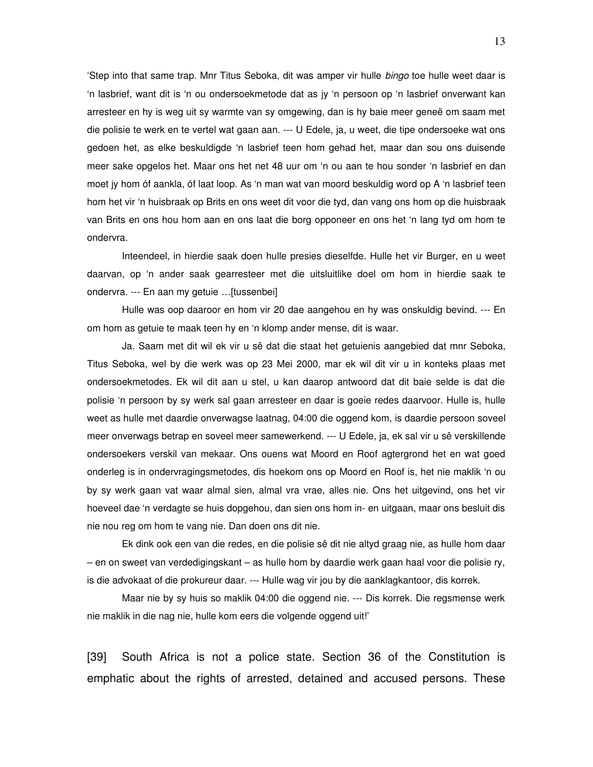'Step into that same trap. Mnr Titus Seboka, dit was amper vir hulle *bingo* toe hulle weet daar is 'n lasbrief, want dit is 'n ou ondersoekmetode dat as jy 'n persoon op 'n lasbrief onverwant kan arresteer en hy is weg uit sy warmte van sy omgewing, dan is hy baie meer geneë om saam met die polisie te werk en te vertel wat gaan aan. --- U Edele, ja, u weet, die tipe ondersoeke wat ons gedoen het, as elke beskuldigde 'n lasbrief teen hom gehad het, maar dan sou ons duisende meer sake opgelos het. Maar ons het net 48 uur om 'n ou aan te hou sonder 'n lasbrief en dan moet jy hom óf aankla, óf laat loop. As 'n man wat van moord beskuldig word op A 'n lasbrief teen hom het vir 'n huisbraak op Brits en ons weet dit voor die tyd, dan vang ons hom op die huisbraak van Brits en ons hou hom aan en ons laat die borg opponeer en ons het 'n lang tyd om hom te ondervra.

Inteendeel, in hierdie saak doen hulle presies dieselfde. Hulle het vir Burger, en u weet daarvan, op 'n ander saak gearresteer met die uitsluitlike doel om hom in hierdie saak te ondervra. --- En aan my getuie ... [tussenbei]

Hulle was oop daaroor en hom vir 20 dae aangehou en hy was onskuldig bevind. --- En om hom as getuie te maak teen hy en 'n klomp ander mense, dit is waar.

Ja. Saam met dit wil ek vir u sê dat die staat het getuienis aangebied dat mnr Seboka, Titus Seboka, wel by die werk was op 23 Mei 2000, mar ek wil dit vir u in konteks plaas met ondersoekmetodes. Ek wil dit aan u stel, u kan daarop antwoord dat dit baie selde is dat die polisie 'n persoon by sy werk sal gaan arresteer en daar is goeie redes daarvoor. Hulle is, hulle weet as hulle met daardie onverwagse laatnag, 04:00 die oggend kom, is daardie persoon soveel meer onverwags betrap en soveel meer samewerkend. --- U Edele, ja, ek sal vir u sê verskillende ondersoekers verskil van mekaar. Ons ouens wat Moord en Roof agtergrond het en wat goed onderleg is in ondervragingsmetodes, dis hoekom ons op Moord en Roof is, het nie maklik 'n ou by sy werk gaan vat waar almal sien, almal vra vrae, alles nie. Ons het uitgevind, ons het vir hoeveel dae 'n verdagte se huis dopgehou, dan sien ons hom in- en uitgaan, maar ons besluit dis nie nou reg om hom te vang nie. Dan doen ons dit nie.

Ek dink ook een van die redes, en die polisie sê dit nie altyd graag nie, as hulle hom daar – en on sweet van verdedigingskant – as hulle hom by daardie werk gaan haal voor die polisie ry, is die advokaat of die prokureur daar. --- Hulle wag vir jou by die aanklagkantoor, dis korrek.

Maar nie by sy huis so maklik 04:00 die oggend nie. --- Dis korrek. Die regsmense werk nie maklik in die nag nie, hulle kom eers die volgende oggend uit!'

[39] South Africa is not a police state. Section 36 of the Constitution is emphatic about the rights of arrested, detained and accused persons. These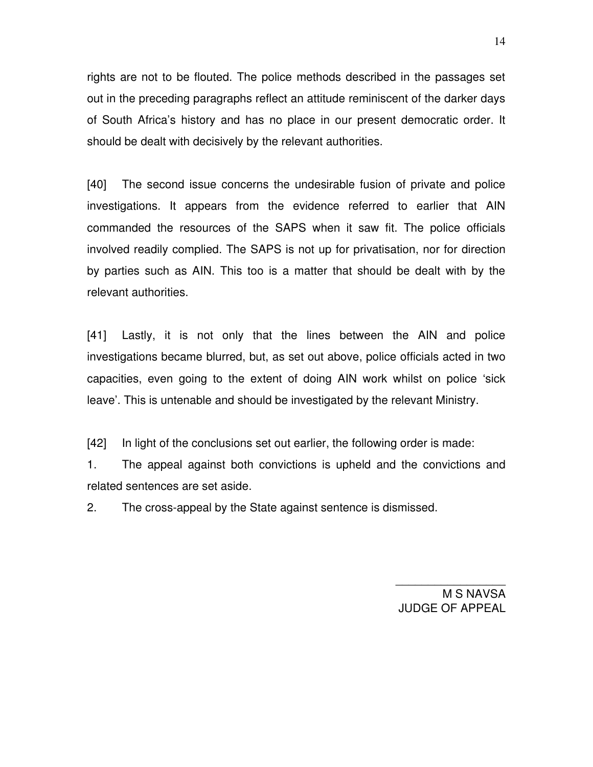rights are not to be flouted. The police methods described in the passages set out in the preceding paragraphs reflect an attitude reminiscent of the darker days of South Africa's history and has no place in our present democratic order. It should be dealt with decisively by the relevant authorities.

[40] The second issue concerns the undesirable fusion of private and police investigations. It appears from the evidence referred to earlier that AIN commanded the resources of the SAPS when it saw fit. The police officials involved readily complied. The SAPS is not up for privatisation, nor for direction by parties such as AIN. This too is a matter that should be dealt with by the relevant authorities.

[41] Lastly, it is not only that the lines between the AIN and police investigations became blurred, but, as set out above, police officials acted in two capacities, even going to the extent of doing AIN work whilst on police 'sick leave'. This is untenable and should be investigated by the relevant Ministry.

[42] In light of the conclusions set out earlier, the following order is made:

1. The appeal against both convictions is upheld and the convictions and related sentences are set aside.

2. The cross-appeal by the State against sentence is dismissed.

M S NAVSA JUDGE OF APPEAL

\_\_\_\_\_\_\_\_\_\_\_\_\_\_\_\_\_